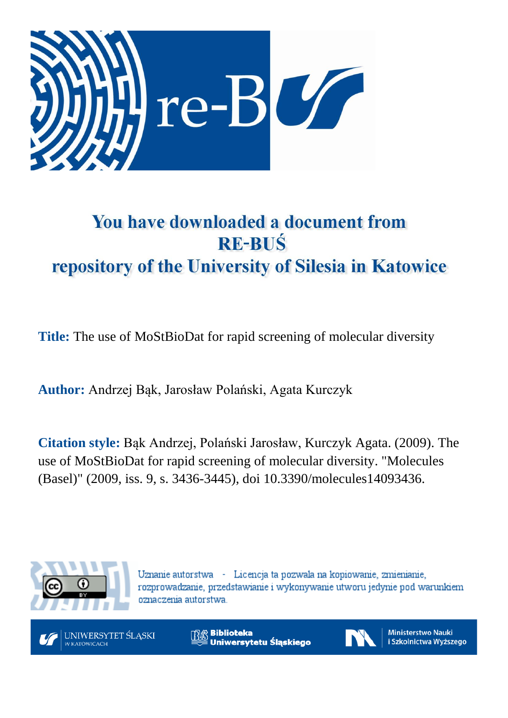

# You have downloaded a document from **RE-BUŚ** repository of the University of Silesia in Katowice

**Title:** The use of MoStBioDat for rapid screening of molecular diversity

**Author:** Andrzej Bąk, Jarosław Polański, Agata Kurczyk

**Citation style:** Bąk Andrzej, Polański Jarosław, Kurczyk Agata. (2009). The use of MoStBioDat for rapid screening of molecular diversity. "Molecules (Basel)" (2009, iss. 9, s. 3436-3445), doi 10.3390/molecules14093436.



Uznanie autorstwa - Licencja ta pozwala na kopiowanie, zmienianie, rozprowadzanie, przedstawianie i wykonywanie utworu jedynie pod warunkiem oznaczenia autorstwa.



**Biblioteka** Uniwersytetu Śląskiego



**Ministerstwo Nauki** i Szkolnictwa Wyższego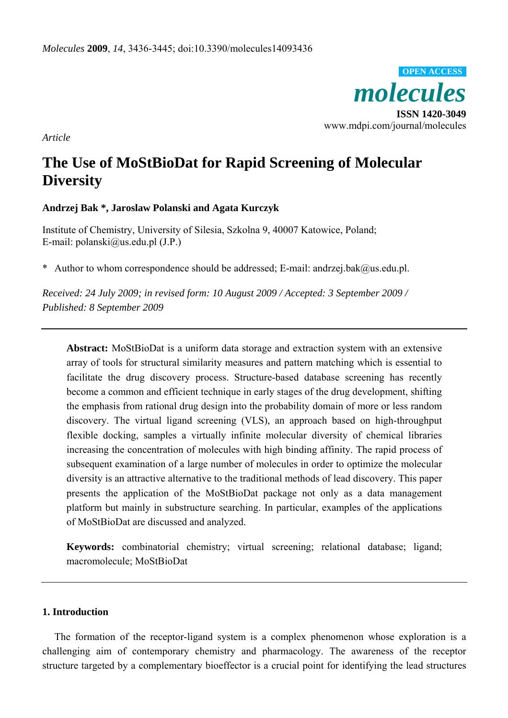

*Article* 

# **The Use of MoStBioDat for Rapid Screening of Molecular Diversity**

# **Andrzej Bak \*, Jaroslaw Polanski and Agata Kurczyk**

Institute of Chemistry, University of Silesia, Szkolna 9, 40007 Katowice, Poland; E-mail: polanski@us.edu.pl (J.P.)

\* Author to whom correspondence should be addressed; E-mail: andrzej.bak@us.edu.pl.

*Received: 24 July 2009; in revised form: 10 August 2009 / Accepted: 3 September 2009 / Published: 8 September 2009* 

**Abstract:** MoStBioDat is a uniform data storage and extraction system with an extensive array of tools for structural similarity measures and pattern matching which is essential to facilitate the drug discovery process. Structure-based database screening has recently become a common and efficient technique in early stages of the drug development, shifting the emphasis from rational drug design into the probability domain of more or less random discovery. The virtual ligand screening (VLS), an approach based on high-throughput flexible docking, samples a virtually infinite molecular diversity of chemical libraries increasing the concentration of molecules with high binding affinity. The rapid process of subsequent examination of a large number of molecules in order to optimize the molecular diversity is an attractive alternative to the traditional methods of lead discovery. This paper presents the application of the MoStBioDat package not only as a data management platform but mainly in substructure searching. In particular, examples of the applications of MoStBioDat are discussed and analyzed.

**Keywords:** combinatorial chemistry; virtual screening; relational database; ligand; macromolecule; MoStBioDat

#### **1. Introduction**

The formation of the receptor-ligand system is a complex phenomenon whose exploration is a challenging aim of contemporary chemistry and pharmacology. The awareness of the receptor structure targeted by a complementary bioeffector is a crucial point for identifying the lead structures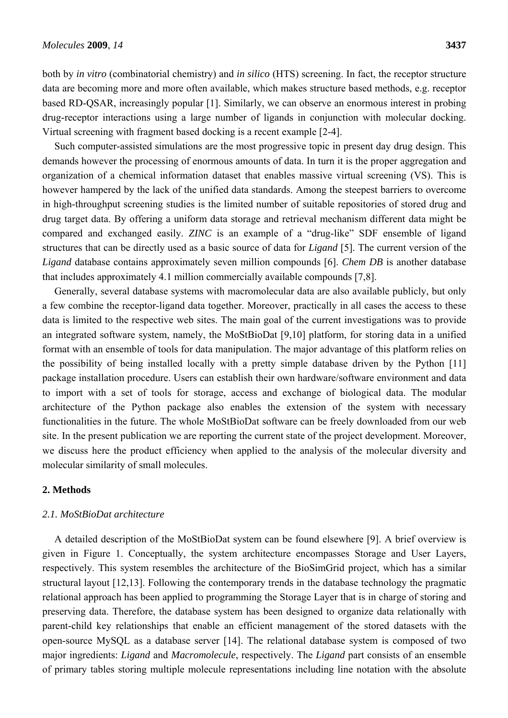both by *in vitro* (combinatorial chemistry) and *in silico* (HTS) screening. In fact, the receptor structure data are becoming more and more often available, which makes structure based methods, e.g. receptor based RD-QSAR, increasingly popular [1]. Similarly, we can observe an enormous interest in probing drug-receptor interactions using a large number of ligands in conjunction with molecular docking. Virtual screening with fragment based docking is a recent example [2-4].

Such computer-assisted simulations are the most progressive topic in present day drug design. This demands however the processing of enormous amounts of data. In turn it is the proper aggregation and organization of a chemical information dataset that enables massive virtual screening (VS). This is however hampered by the lack of the unified data standards. Among the steepest barriers to overcome in high-throughput screening studies is the limited number of suitable repositories of stored drug and drug target data. By offering a uniform data storage and retrieval mechanism different data might be compared and exchanged easily. *ZINC* is an example of a "drug-like" SDF ensemble of ligand structures that can be directly used as a basic source of data for *Ligand* [5]. The current version of the *Ligand* database contains approximately seven million compounds [6]. *Chem DB* is another database that includes approximately 4.1 million commercially available compounds [7,8].

Generally, several database systems with macromolecular data are also available publicly, but only a few combine the receptor-ligand data together. Moreover, practically in all cases the access to these data is limited to the respective web sites. The main goal of the current investigations was to provide an integrated software system, namely, the MoStBioDat [9,10] platform, for storing data in a unified format with an ensemble of tools for data manipulation. The major advantage of this platform relies on the possibility of being installed locally with a pretty simple database driven by the Python [11] package installation procedure. Users can establish their own hardware/software environment and data to import with a set of tools for storage, access and exchange of biological data. The modular architecture of the Python package also enables the extension of the system with necessary functionalities in the future. The whole MoStBioDat software can be freely downloaded from our web site. In the present publication we are reporting the current state of the project development. Moreover, we discuss here the product efficiency when applied to the analysis of the molecular diversity and molecular similarity of small molecules.

# **2. Methods**

#### *2.1. MoStBioDat architecture*

A detailed description of the MoStBioDat system can be found elsewhere [9]. A brief overview is given in Figure 1. Conceptually, the system architecture encompasses Storage and User Layers, respectively. This system resembles the architecture of the BioSimGrid project, which has a similar structural layout [12,13]. Following the contemporary trends in the database technology the pragmatic relational approach has been applied to programming the Storage Layer that is in charge of storing and preserving data. Therefore, the database system has been designed to organize data relationally with parent-child key relationships that enable an efficient management of the stored datasets with the open-source MySQL as a database server [14]. The relational database system is composed of two major ingredients: *Ligand* and *Macromolecule*, respectively. The *Ligand* part consists of an ensemble of primary tables storing multiple molecule representations including line notation with the absolute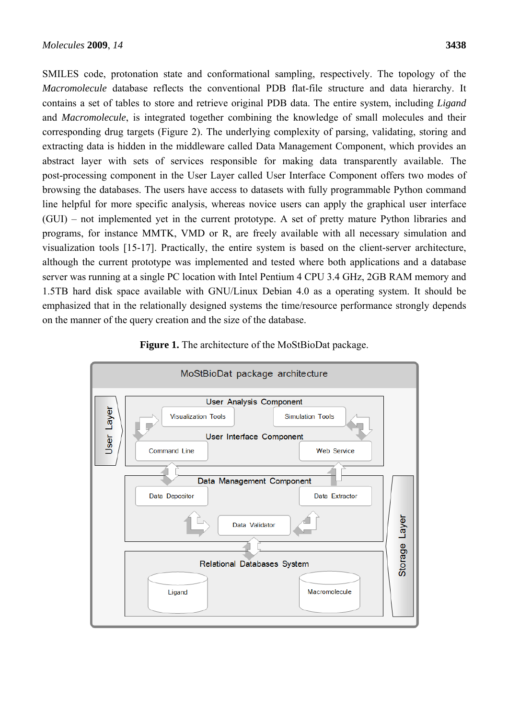SMILES code, protonation state and conformational sampling, respectively. The topology of the *Macromolecule* database reflects the conventional PDB flat-file structure and data hierarchy. It contains a set of tables to store and retrieve original PDB data. The entire system, including *Ligand* and *Macromolecule*, is integrated together combining the knowledge of small molecules and their corresponding drug targets (Figure 2). The underlying complexity of parsing, validating, storing and extracting data is hidden in the middleware called Data Management Component, which provides an abstract layer with sets of services responsible for making data transparently available. The post-processing component in the User Layer called User Interface Component offers two modes of browsing the databases. The users have access to datasets with fully programmable Python command line helpful for more specific analysis, whereas novice users can apply the graphical user interface (GUI) – not implemented yet in the current prototype. A set of pretty mature Python libraries and programs, for instance MMTK, VMD or R, are freely available with all necessary simulation and visualization tools [15-17]. Practically, the entire system is based on the client-server architecture, although the current prototype was implemented and tested where both applications and a database server was running at a single PC location with Intel Pentium 4 CPU 3.4 GHz, 2GB RAM memory and 1.5TB hard disk space available with GNU/Linux Debian 4.0 as a operating system. It should be emphasized that in the relationally designed systems the time/resource performance strongly depends on the manner of the query creation and the size of the database.



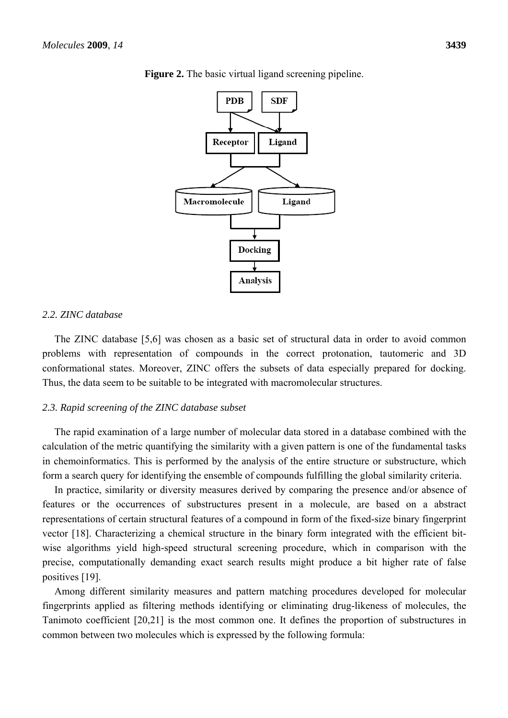

**Figure 2.** The basic virtual ligand screening pipeline.

#### *2.2. ZINC database*

The ZINC database [5,6] was chosen as a basic set of structural data in order to avoid common problems with representation of compounds in the correct protonation, tautomeric and 3D conformational states. Moreover, ZINC offers the subsets of data especially prepared for docking. Thus, the data seem to be suitable to be integrated with macromolecular structures.

#### *2.3. Rapid screening of the ZINC database subset*

The rapid examination of a large number of molecular data stored in a database combined with the calculation of the metric quantifying the similarity with a given pattern is one of the fundamental tasks in chemoinformatics. This is performed by the analysis of the entire structure or substructure, which form a search query for identifying the ensemble of compounds fulfilling the global similarity criteria.

In practice, similarity or diversity measures derived by comparing the presence and/or absence of features or the occurrences of substructures present in a molecule, are based on a abstract representations of certain structural features of a compound in form of the fixed-size binary fingerprint vector [18]. Characterizing a chemical structure in the binary form integrated with the efficient bitwise algorithms yield high-speed structural screening procedure, which in comparison with the precise, computationally demanding exact search results might produce a bit higher rate of false positives [19].

Among different similarity measures and pattern matching procedures developed for molecular fingerprints applied as filtering methods identifying or eliminating drug-likeness of molecules, the Tanimoto coefficient [20,21] is the most common one. It defines the proportion of substructures in common between two molecules which is expressed by the following formula: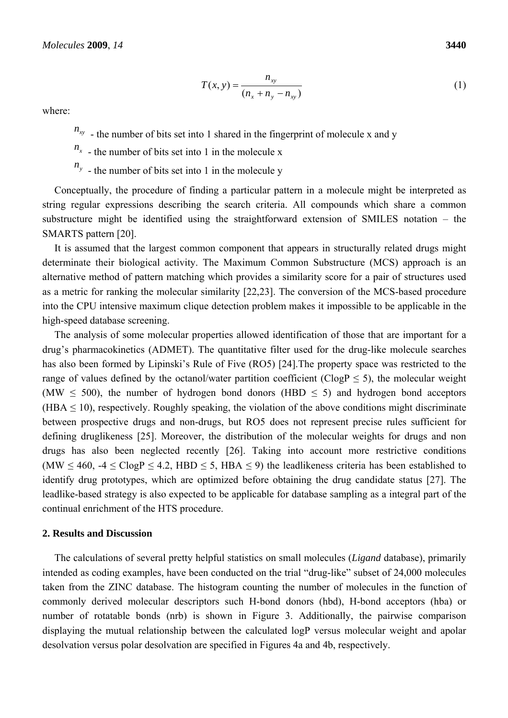$$
T(x, y) = \frac{n_{xy}}{(n_x + n_y - n_{xy})}
$$
 (1)

where:

 $n_{xy}$  - the number of bits set into 1 shared in the fingerprint of molecule x and y

 $n_x$  - the number of bits set into 1 in the molecule x

 $n_y$  - the number of bits set into 1 in the molecule y

Conceptually, the procedure of finding a particular pattern in a molecule might be interpreted as string regular expressions describing the search criteria. All compounds which share a common substructure might be identified using the straightforward extension of SMILES notation – the SMARTS pattern [20].

It is assumed that the largest common component that appears in structurally related drugs might determinate their biological activity. The Maximum Common Substructure (MCS) approach is an alternative method of pattern matching which provides a similarity score for a pair of structures used as a metric for ranking the molecular similarity [22,23]. The conversion of the MCS-based procedure into the CPU intensive maximum clique detection problem makes it impossible to be applicable in the high-speed database screening.

The analysis of some molecular properties allowed identification of those that are important for a drug's pharmacokinetics (ADMET). The quantitative filter used for the drug-like molecule searches has also been formed by Lipinski's Rule of Five (RO5) [24].The property space was restricted to the range of values defined by the octanol/water partition coefficient ( $C \log P \le 5$ ), the molecular weight (MW  $\leq$  500), the number of hydrogen bond donors (HBD  $\leq$  5) and hydrogen bond acceptors  $(HBA \le 10)$ , respectively. Roughly speaking, the violation of the above conditions might discriminate between prospective drugs and non-drugs, but RO5 does not represent precise rules sufficient for defining druglikeness [25]. Moreover, the distribution of the molecular weights for drugs and non drugs has also been neglected recently [26]. Taking into account more restrictive conditions (MW  $\leq 460$ , -4  $\leq$  ClogP  $\leq$  4.2, HBD  $\leq$  5, HBA  $\leq$  9) the leadlikeness criteria has been established to identify drug prototypes, which are optimized before obtaining the drug candidate status [27]. The leadlike-based strategy is also expected to be applicable for database sampling as a integral part of the continual enrichment of the HTS procedure.

#### **2. Results and Discussion**

The calculations of several pretty helpful statistics on small molecules (*Ligand* database), primarily intended as coding examples, have been conducted on the trial "drug-like" subset of 24,000 molecules taken from the ZINC database. The histogram counting the number of molecules in the function of commonly derived molecular descriptors such H-bond donors (hbd), H-bond acceptors (hba) or number of rotatable bonds (nrb) is shown in Figure 3. Additionally, the pairwise comparison displaying the mutual relationship between the calculated logP versus molecular weight and apolar desolvation versus polar desolvation are specified in Figures 4a and 4b, respectively.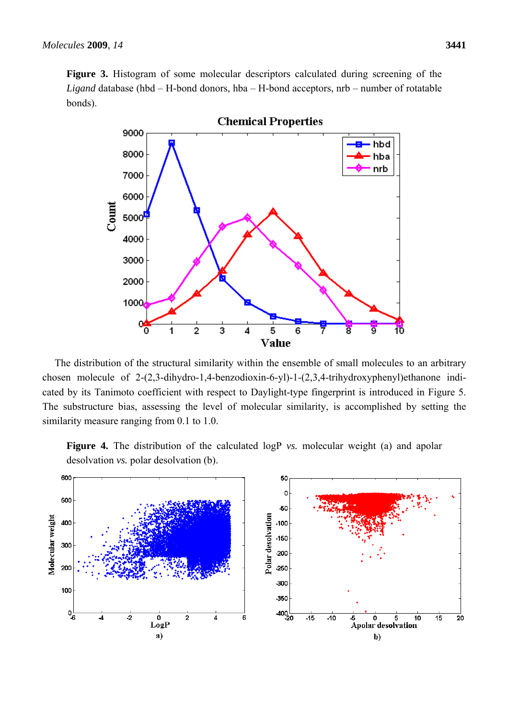**Figure 3.** Histogram of some molecular descriptors calculated during screening of the *Ligand* database (hbd – H-bond donors, hba – H-bond acceptors, nrb – number of rotatable bonds).



The distribution of the structural similarity within the ensemble of small molecules to an arbitrary chosen molecule of 2-(2,3-dihydro-1,4-benzodioxin-6-yl)-1-(2,3,4-trihydroxyphenyl)ethanone indicated by its Tanimoto coefficient with respect to Daylight-type fingerprint is introduced in Figure 5. The substructure bias, assessing the level of molecular similarity, is accomplished by setting the similarity measure ranging from 0.1 to 1.0.

**Figure 4.** The distribution of the calculated logP *vs.* molecular weight (a) and apolar desolvation *vs.* polar desolvation (b).

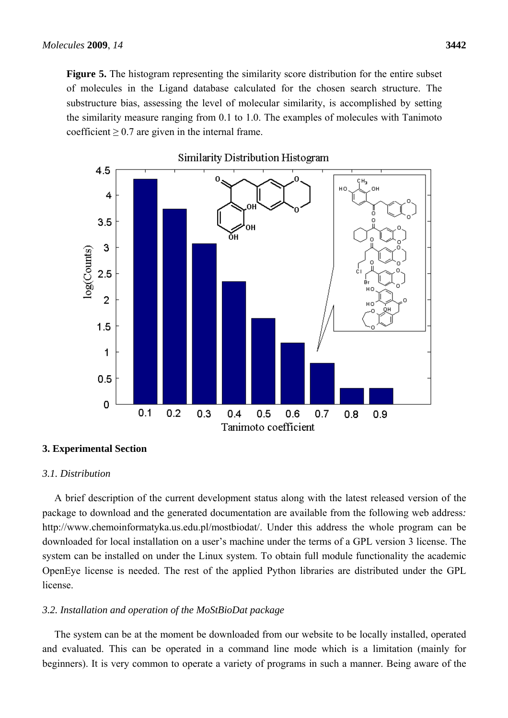**Figure 5.** The histogram representing the similarity score distribution for the entire subset of molecules in the Ligand database calculated for the chosen search structure. The substructure bias, assessing the level of molecular similarity, is accomplished by setting the similarity measure ranging from 0.1 to 1.0. The examples of molecules with Tanimoto coefficient  $\geq 0.7$  are given in the internal frame.



#### **3. Experimental Section**

#### *3.1. Distribution*

A brief description of the current development status along with the latest released version of the package to download and the generated documentation are available from the following web address*:*  http://www.chemoinformatyka.us.edu.pl/mostbiodat/. Under this address the whole program can be downloaded for local installation on a user's machine under the terms of a GPL version 3 license. The system can be installed on under the Linux system. To obtain full module functionality the academic OpenEye license is needed. The rest of the applied Python libraries are distributed under the GPL license.

#### *3.2. Installation and operation of the MoStBioDat package*

The system can be at the moment be downloaded from our website to be locally installed, operated and evaluated. This can be operated in a command line mode which is a limitation (mainly for beginners). It is very common to operate a variety of programs in such a manner. Being aware of the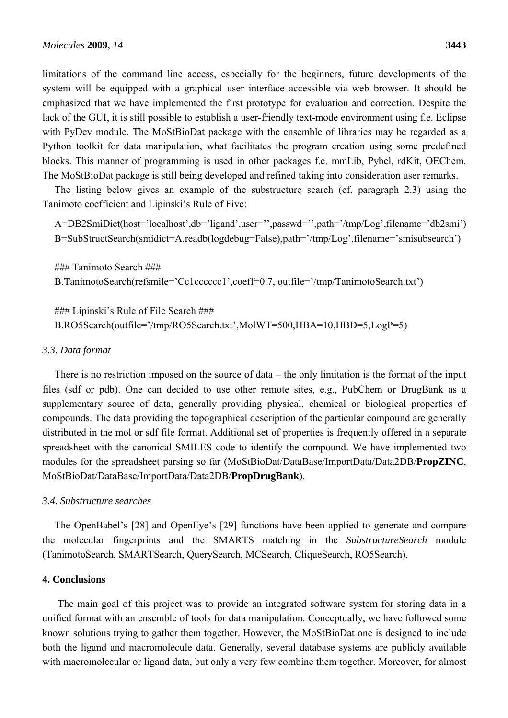limitations of the command line access, especially for the beginners, future developments of the system will be equipped with a graphical user interface accessible via web browser. It should be emphasized that we have implemented the first prototype for evaluation and correction. Despite the lack of the GUI, it is still possible to establish a user-friendly text-mode environment using f.e. Eclipse with PyDev module. The MoStBioDat package with the ensemble of libraries may be regarded as a Python toolkit for data manipulation, what facilitates the program creation using some predefined blocks. This manner of programming is used in other packages f.e. mmLib, Pybel, rdKit, OEChem. The MoStBioDat package is still being developed and refined taking into consideration user remarks.

The listing below gives an example of the substructure search (cf. paragraph 2.3) using the Tanimoto coefficient and Lipinski's Rule of Five:

A=DB2SmiDict(host='localhost',db='ligand',user='',passwd='',path='/tmp/Log',filename='db2smi') B=SubStructSearch(smidict=A.readb(logdebug=False),path='/tmp/Log',filename='smisubsearch')

### Tanimoto Search ### B.TanimotoSearch(refsmile='Cc1cccccc1',coeff=0.7, outfile='/tmp/TanimotoSearch.txt')

### Lipinski's Rule of File Search ### B.RO5Search(outfile='/tmp/RO5Search.txt',MolWT=500,HBA=10,HBD=5,LogP=5)

#### *3.3. Data format*

There is no restriction imposed on the source of data – the only limitation is the format of the input files (sdf or pdb). One can decided to use other remote sites, e.g., PubChem or DrugBank as a supplementary source of data, generally providing physical, chemical or biological properties of compounds. The data providing the topographical description of the particular compound are generally distributed in the mol or sdf file format. Additional set of properties is frequently offered in a separate spreadsheet with the canonical SMILES code to identify the compound. We have implemented two modules for the spreadsheet parsing so far (MoStBioDat/DataBase/ImportData/Data2DB/**PropZINC**, MoStBioDat/DataBase/ImportData/Data2DB/**PropDrugBank**).

#### *3.4. Substructure searches*

The OpenBabel's [28] and OpenEye's [29] functions have been applied to generate and compare the molecular fingerprints and the SMARTS matching in the *SubstructureSearch* module (TanimotoSearch, SMARTSearch, QuerySearch, MCSearch, CliqueSearch, RO5Search).

# **4. Conclusions**

The main goal of this project was to provide an integrated software system for storing data in a unified format with an ensemble of tools for data manipulation. Conceptually, we have followed some known solutions trying to gather them together. However, the MoStBioDat one is designed to include both the ligand and macromolecule data. Generally, several database systems are publicly available with macromolecular or ligand data, but only a very few combine them together. Moreover, for almost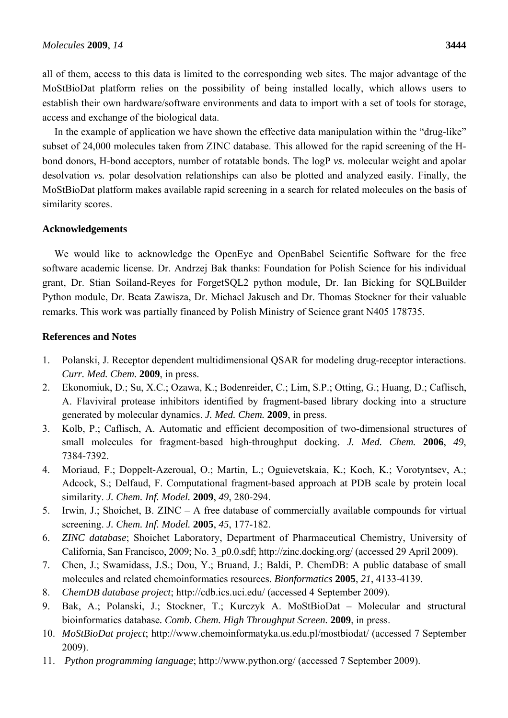all of them, access to this data is limited to the corresponding web sites. The major advantage of the MoStBioDat platform relies on the possibility of being installed locally, which allows users to establish their own hardware/software environments and data to import with a set of tools for storage, access and exchange of the biological data.

In the example of application we have shown the effective data manipulation within the "drug-like" subset of 24,000 molecules taken from ZINC database. This allowed for the rapid screening of the Hbond donors, H-bond acceptors, number of rotatable bonds. The logP *vs.* molecular weight and apolar desolvation *vs.* polar desolvation relationships can also be plotted and analyzed easily. Finally, the MoStBioDat platform makes available rapid screening in a search for related molecules on the basis of similarity scores.

## **Acknowledgements**

We would like to acknowledge the OpenEye and OpenBabel Scientific Software for the free software academic license. Dr. Andrzej Bak thanks: Foundation for Polish Science for his individual grant, Dr. Stian Soiland-Reyes for ForgetSQL2 python module, Dr. Ian Bicking for SQLBuilder Python module, Dr. Beata Zawisza, Dr. Michael Jakusch and Dr. Thomas Stockner for their valuable remarks. This work was partially financed by Polish Ministry of Science grant N405 178735.

# **References and Notes**

- 1. Polanski, J. Receptor dependent multidimensional QSAR for modeling drug-receptor interactions. *Curr. Med. Chem.* **2009**, in press.
- 2. Ekonomiuk, D.; Su, X.C.; Ozawa, K.; Bodenreider, C.; Lim, S.P.; Otting, G.; Huang, D.; Caflisch, A. Flaviviral protease inhibitors identified by fragment-based library docking into a structure generated by molecular dynamics. *J. Med. Chem.* **2009**, in press.
- 3. Kolb, P.; Caflisch, A. Automatic and efficient decomposition of two-dimensional structures of small molecules for fragment-based high-throughput docking. *J. Med. Chem.* **2006**, *49*, 7384-7392.
- 4. Moriaud, F.; Doppelt-Azeroual, O.; Martin, L.; Oguievetskaia, K.; Koch, K.; Vorotyntsev, A.; Adcock, S.; Delfaud, F. Computational fragment-based approach at PDB scale by protein local similarity. *J. Chem. Inf. Model.* **2009**, *49*, 280-294.
- 5. Irwin, J.; Shoichet, B. ZINC A free database of commercially available compounds for virtual screening. *J. Chem. Inf. Model.* **2005**, *45*, 177-182.
- 6. *ZINC database*; Shoichet Laboratory, Department of Pharmaceutical Chemistry, University of California, San Francisco, 2009; No. 3\_p0.0.sdf; http://zinc.docking.org/ (accessed 29 April 2009).
- 7. Chen, J.; Swamidass, J.S.; Dou, Y.; Bruand, J.; Baldi, P. ChemDB: A public database of small molecules and related chemoinformatics resources. *Bionformatics* **2005**, *21*, 4133-4139.
- 8. *ChemDB database project*; http://cdb.ics.uci.edu/ (accessed 4 September 2009).
- 9. Bak, A.; Polanski, J.; Stockner, T.; Kurczyk A. MoStBioDat Molecular and structural bioinformatics database*. Comb. Chem. High Throughput Screen.* **2009**, in press.
- 10. *MoStBioDat project*; http://www.chemoinformatyka.us.edu.pl/mostbiodat/ (accessed 7 September 2009).
- 11. *Python programming language*; http://www.python.org/ (accessed 7 September 2009).